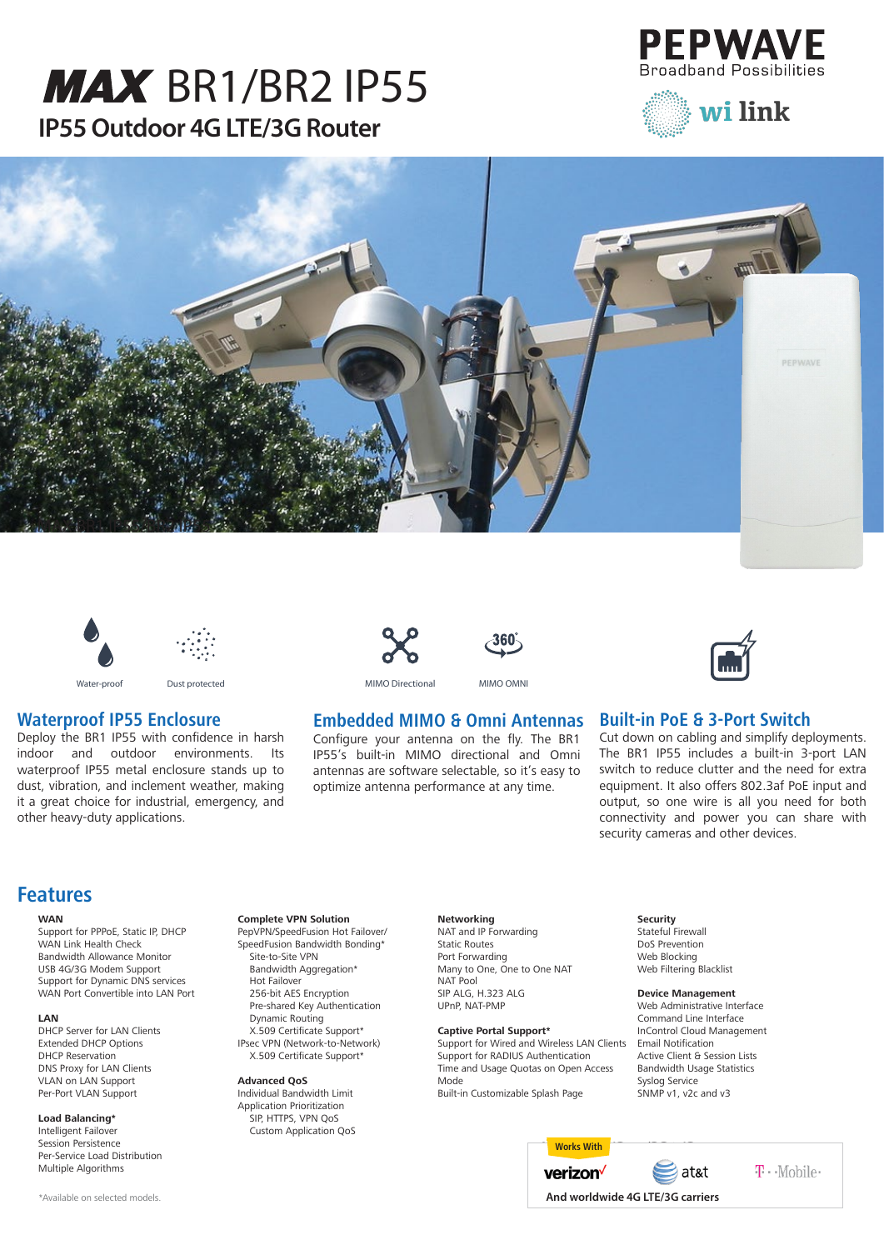# **IP55 Outdoor 4G LTE/3G Router MAX [BR1/BR2 IP55](http://wilink.pl/)**











#### Water-proof Dust protected

### **Waterproof IP55 Enclosure**

Deploy the BR1 IP55 with confidence in harsh indoor and outdoor environments. Its waterproof IP55 metal enclosure stands up to dust, vibration, and inclement weather, making it a great choice for industrial, emergency, and other heavy-duty applications.







MIMO Directional MIMO OMNI

#### **Embedded MIMO & Omni Antennas**

Configure your antenna on the fly. The BR1 IP55's built-in MIMO directional and Omni antennas are software selectable, so it's easy to optimize antenna performance at any time.



connectivity and power you can share with

#### **Features**

#### **WAN**

Support for PPPoE, Static IP, DHCP WAN Link Health Check Bandwidth Allowance Monitor USB 4G/3G Modem Support Support for Dynamic DNS services WAN Port Convertible into LAN Port

#### **LAN**

DHCP Server for LAN Clients Extended DHCP Options DHCP Reservation DNS Proxy for LAN Clients VLAN on LAN Support Per-Port VLAN Support

#### **Load Balancing\***

Intelligent Failover Session Persistence Per-Service Load Distribution Multiple Algorithms

#### **Complete VPN Solution**

PepVPN/SpeedFusion Hot Failover/ SpeedFusion Bandwidth Bonding\* Site-to-Site VPN Bandwidth Aggregation\* Hot Failover 256-bit AES Encryption Pre-shared Key Authentication Dynamic Routing X.509 Certificate Support\* IPsec VPN (Network-to-Network)

X.509 Certificate Support\*

#### **Advanced QoS**

Individual Bandwidth Limit Application Prioritization SIP, HTTPS, VPN QoS Custom Application QoS

#### **Networking**

NAT and IP Forwarding Static Routes Port Forwarding Many to One, One to One NAT NAT Pool SIP ALG, H.323 ALG UPnP, NAT-PMP

#### **Captive Portal Support\***

Support for Wired and Wireless LAN Clients Support for RADIUS Authentication Time and Usage Quotas on Open Access Mode Built-in Customizable Splash Page

#### **Security**

Stateful Firewall DoS Prevention Web Blocking Web Filtering Blacklist

security cameras and other devices.

#### **Device Management**

Web Administrative Interface Command Line Interface InControl Cloud Management Email Notification Active Client & Session Lists Bandwidth Usage Statistics Syslog Service SNMP v1, v2c and v3